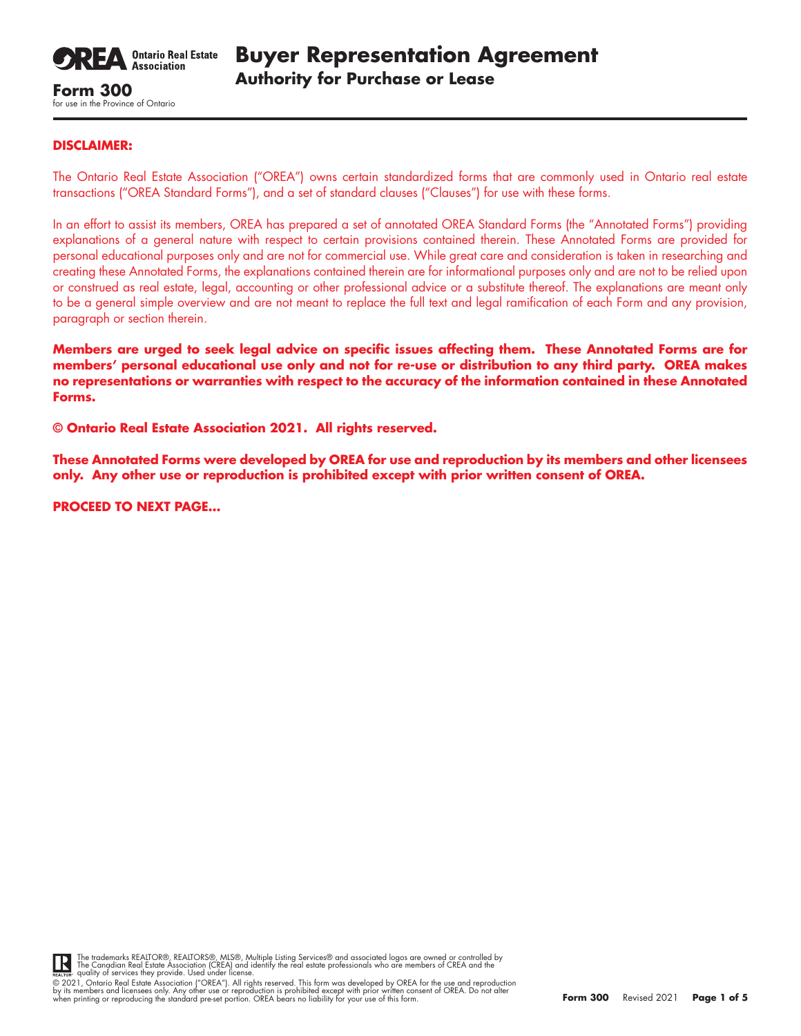

## **DISCLAIMER:**

for use in the Province of Ontario

The Ontario Real Estate Association ("OREA") owns certain standardized forms that are commonly used in Ontario real estate transactions ("OREA Standard Forms"), and a set of standard clauses ("Clauses") for use with these forms.

In an effort to assist its members, OREA has prepared a set of annotated OREA Standard Forms (the "Annotated Forms") providing explanations of a general nature with respect to certain provisions contained therein. These Annotated Forms are provided for personal educational purposes only and are not for commercial use. While great care and consideration is taken in researching and creating these Annotated Forms, the explanations contained therein are for informational purposes only and are not to be relied upon or construed as real estate, legal, accounting or other professional advice or a substitute thereof. The explanations are meant only to be a general simple overview and are not meant to replace the full text and legal ramification of each Form and any provision, paragraph or section therein.

**Members are urged to seek legal advice on specific issues affecting them. These Annotated Forms are for members' personal educational use only and not for re-use or distribution to any third party. OREA makes no representations or warranties with respect to the accuracy of the information contained in these Annotated Forms.**

**© Ontario Real Estate Association 2021. All rights reserved.** 

**These Annotated Forms were developed by OREA for use and reproduction by its members and other licensees only. Any other use or reproduction is prohibited except with prior written consent of OREA.**

**PROCEED TO NEXT PAGE…**



The trademarks REALTOR®, REALTORS®, MLS®, Multiple Listing Services® and associated logos are owned or controlled by<br>The Canadian Real Estate Association (CREA) and identify the real estate professionals who are members of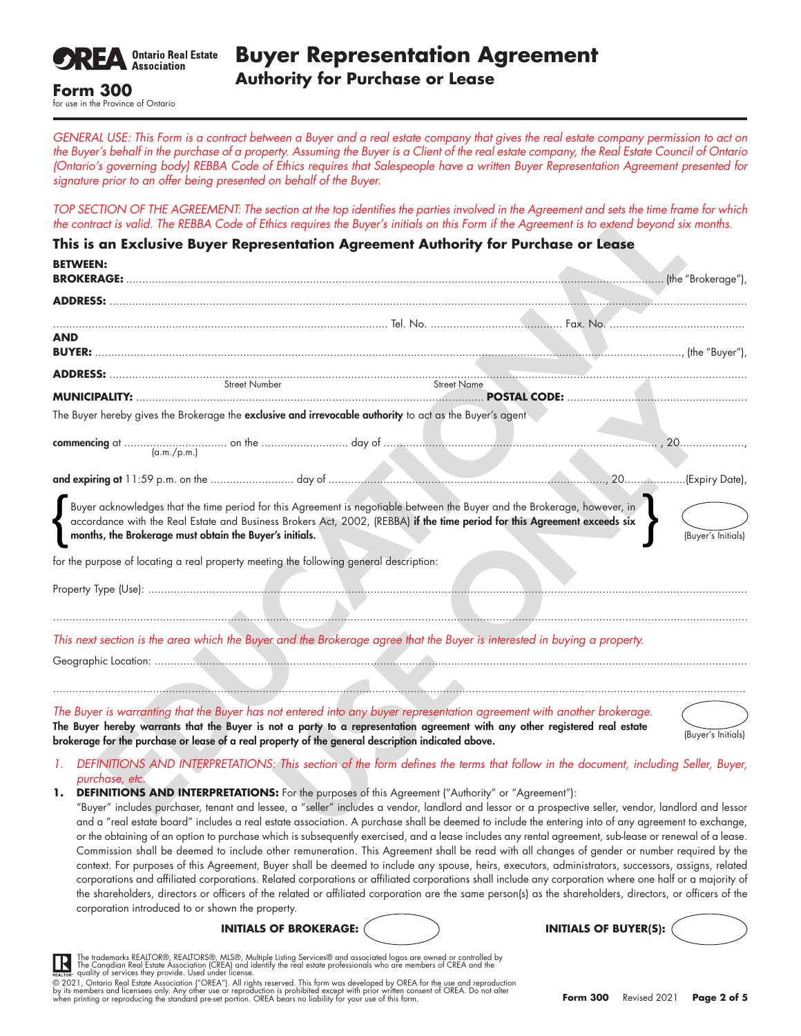

for use in the Province of Ontario

*GENERAL USE: This Form is a contract between a Buyer and a real estate company that gives the real estate company permission to act on the Buyer's behalf in the purchase of a property. Assuming the Buyer is a Client of the real estate company, the Real Estate Council of Ontario (Ontario's governing body) REBBA Code of Ethics requires that Salespeople have a written Buyer Representation Agreement presented for signature prior to an offer being presented on behalf of the Buyer.*

*TOP SECTION OF THE AGREEMENT: The section at the top identifies the parties involved in the Agreement and sets the time frame for which the contract is valid. The REBBA Code of Ethics requires the Buyer's initials on this Form if the Agreement is to extend beyond six months.* 

|                                                                                                    | TOP SECTION OF THE AGKEEMENT: The section at the top identities the parties involved in the Agreement and sets the time frame for which<br>the contract is valid. The REBBA Code of Ethics requires the Buyer's initials on this Form if the Agreement is to extend beyond six months.                                                                                                                            |                    |
|----------------------------------------------------------------------------------------------------|-------------------------------------------------------------------------------------------------------------------------------------------------------------------------------------------------------------------------------------------------------------------------------------------------------------------------------------------------------------------------------------------------------------------|--------------------|
|                                                                                                    | This is an Exclusive Buyer Representation Agreement Authority for Purchase or Lease                                                                                                                                                                                                                                                                                                                               |                    |
| <b>BETWEEN:</b>                                                                                    |                                                                                                                                                                                                                                                                                                                                                                                                                   |                    |
|                                                                                                    |                                                                                                                                                                                                                                                                                                                                                                                                                   |                    |
|                                                                                                    |                                                                                                                                                                                                                                                                                                                                                                                                                   |                    |
| AND                                                                                                |                                                                                                                                                                                                                                                                                                                                                                                                                   |                    |
|                                                                                                    |                                                                                                                                                                                                                                                                                                                                                                                                                   |                    |
|                                                                                                    |                                                                                                                                                                                                                                                                                                                                                                                                                   |                    |
|                                                                                                    | The Buyer hereby gives the Brokerage the exclusive and irrevocable authority to act as the Buyer's agent                                                                                                                                                                                                                                                                                                          |                    |
|                                                                                                    |                                                                                                                                                                                                                                                                                                                                                                                                                   |                    |
|                                                                                                    | Buyer acknowledges that the time period for this Agreement is negotiable between the Buyer and the Brokerage, however, in<br>accordance with the Real Estate and Business Brokers Act, 2002, (REBBA) if the time period for this Agreement exceeds six                                                                                                                                                            |                    |
| months, the Brokerage must obtain the Buyer's initials.                                            |                                                                                                                                                                                                                                                                                                                                                                                                                   | (Buyer's Initials) |
| for the purpose of locating a real property meeting the following general description:             |                                                                                                                                                                                                                                                                                                                                                                                                                   |                    |
|                                                                                                    |                                                                                                                                                                                                                                                                                                                                                                                                                   |                    |
|                                                                                                    | This next section is the area which the Buyer and the Brokerage agree that the Buyer is interested in buying a property.                                                                                                                                                                                                                                                                                          |                    |
|                                                                                                    |                                                                                                                                                                                                                                                                                                                                                                                                                   |                    |
| brokerage for the purchase or lease of a real property of the general description indicated above. | The Buyer is warranting that the Buyer has not entered into any buyer representation agreement with another brokerage.<br>The Buyer hereby warrants that the Buyer is not a party to a representation agreement with any other registered real estate                                                                                                                                                             | (Buyer's Initials) |
| 1.                                                                                                 | DEFINITIONS AND INTERPRETATIONS: This section of the form defines the terms that follow in the document, including Seller, Buyer,                                                                                                                                                                                                                                                                                 |                    |
| purchase, etc.                                                                                     |                                                                                                                                                                                                                                                                                                                                                                                                                   |                    |
| 1.                                                                                                 | DEFINITIONS AND INTERPRETATIONS: For the purposes of this Agreement ("Authority" or "Agreement"):<br>"Buyer" includes purchaser, tenant and lessee, a "seller" includes a vendor, landlord and lessor or a prospective seller, vendor, landlord and lessor<br>and a "real estate board" includes a real estate association. A purchase shall be deemed to include the entering into of any agreement to exchange, |                    |

"Buyer" includes purchaser, tenant and lessee, a "seller" includes a vendor, landlord and lessor or a prospective seller, vendor, landlord and lessor and a "real estate board" includes a real estate association. A purchase shall be deemed to include the entering into of any agreement to exchange, or the obtaining of an option to purchase which is subsequently exercised, and a lease includes any rental agreement, sub-lease or renewal of a lease. Commission shall be deemed to include other remuneration. This Agreement shall be read with all changes of gender or number required by the context. For purposes of this Agreement, Buyer shall be deemed to include any spouse, heirs, executors, administrators, successors, assigns, related corporations and affiliated corporations. Related corporations or affiliated corporations shall include any corporation where one half or a majority of the shareholders, directors or officers of the related or affiliated corporation are the same person(s) as the shareholders, directors, or officers of the corporation introduced to or shown the property.



The trademarks REALTOR®, REALTORS®, MLS®, Multiple Listing Services® and associated logos are owned or controlled by<br>The Canadian Real Estate Association (CREA) and identify the real estate professionals who are members of IR

<sup>© 2021,</sup> Ontario Real Estate Association ("OREA"). All rights reserved. This form was developed by OREA for the use and reproduction<br>by its members and licensees only. Any other use or reproduction is prohibited except with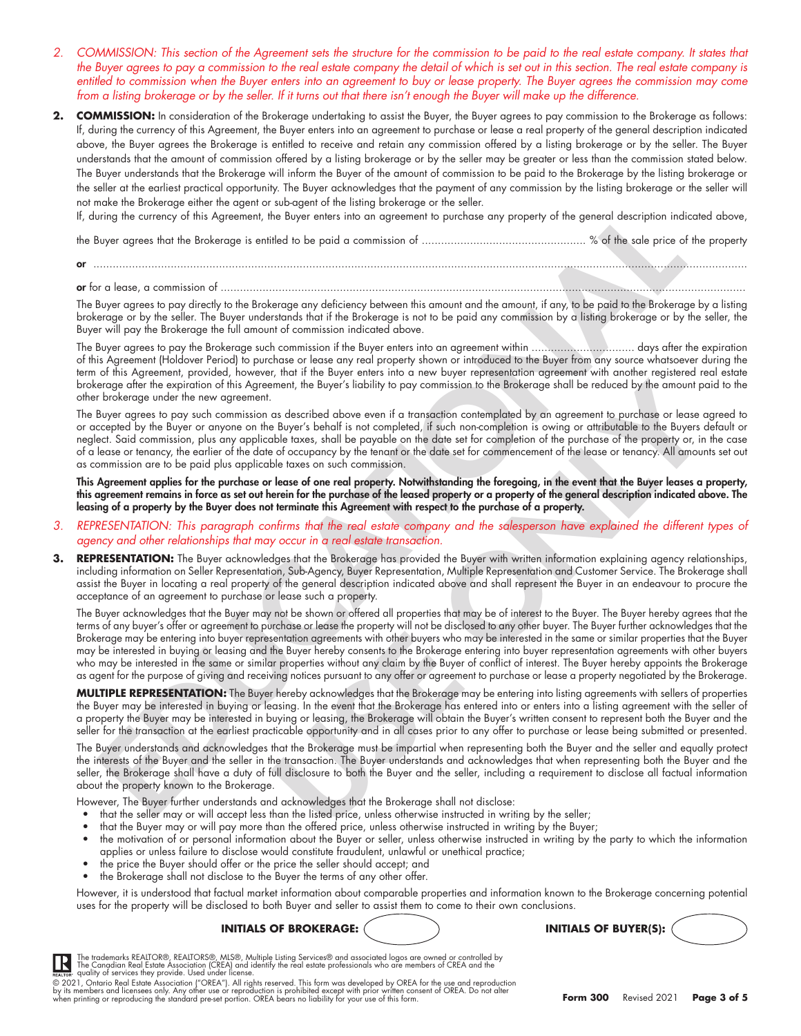- *2. COMMISSION: This section of the Agreement sets the structure for the commission to be paid to the real estate company. It states that the Buyer agrees to pay a commission to the real estate company the detail of which is set out in this section. The real estate company is entitled to commission when the Buyer enters into an agreement to buy or lease property. The Buyer agrees the commission may come from a listing brokerage or by the seller. If it turns out that there isn't enough the Buyer will make up the difference.*
- **2. COMMISSION:** In consideration of the Brokerage undertaking to assist the Buyer, the Buyer agrees to pay commission to the Brokerage as follows: If, during the currency of this Agreement, the Buyer enters into an agreement to purchase or lease a real property of the general description indicated above, the Buyer agrees the Brokerage is entitled to receive and retain any commission offered by a listing brokerage or by the seller. The Buyer understands that the amount of commission offered by a listing brokerage or by the seller may be greater or less than the commission stated below. The Buyer understands that the Brokerage will inform the Buyer of the amount of commission to be paid to the Brokerage by the listing brokerage or the seller at the earliest practical opportunity. The Buyer acknowledges that the payment of any commission by the listing brokerage or the seller will not make the Brokerage either the agent or sub-agent of the listing brokerage or the seller.

If, during the currency of this Agreement, the Buyer enters into an agreement to purchase any property of the general description indicated above,

the Buyer agrees that the Brokerage is entitled to be paid a commission of ................................................... % of the sale price of the property

or ...........................................................................................................................................................................................................

**or** for a lease, a commission of ...

The Buyer agrees to pay directly to the Brokerage any deficiency between this amount and the amount, if any, to be paid to the Brokerage by a listing brokerage or by the seller. The Buyer understands that if the Brokerage is not to be paid any commission by a listing brokerage or by the seller, the Buyer will pay the Brokerage the full amount of commission indicated above.

The Buyer agrees to pay the Brokerage such commission if the Buyer enters into an agreement within ................................ days after the expiration of this Agreement (Holdover Period) to purchase or lease any real property shown or introduced to the Buyer from any source whatsoever during the term of this Agreement, provided, however, that if the Buyer enters into a new buyer representation agreement with another registered real estate brokerage after the expiration of this Agreement, the Buyer's liability to pay commission to the Brokerage shall be reduced by the amount paid to the other brokerage under the new agreement.

The Buyer agrees to pay such commission as described above even if a transaction contemplated by an agreement to purchase or lease agreed to or accepted by the Buyer or anyone on the Buyer's behalf is not completed, if such non-completion is owing or attributable to the Buyers default or neglect. Said commission, plus any applicable taxes, shall be payable on the date set for completion of the purchase of the property or, in the case of a lease or tenancy, the earlier of the date of occupancy by the tenant or the date set for commencement of the lease or tenancy. All amounts set out as commission are to be paid plus applicable taxes on such commission.

This Agreement applies for the purchase or lease of one real property. Notwithstanding the foregoing, in the event that the Buyer leases a property, this agreement remains in force as set out herein for the purchase of the leased property or a property of the general description indicated above. The leasing of a property by the Buyer does not terminate this Agreement with respect to the purchase of a property.

- *3. REPRESENTATION: This paragraph confirms that the real estate company and the salesperson have explained the different types of agency and other relationships that may occur in a real estate transaction.*
- **3. REPRESENTATION:** The Buyer acknowledges that the Brokerage has provided the Buyer with written information explaining agency relationships, including information on Seller Representation, Sub-Agency, Buyer Representation, Multiple Representation and Customer Service. The Brokerage shall assist the Buyer in locating a real property of the general description indicated above and shall represent the Buyer in an endeavour to procure the acceptance of an agreement to purchase or lease such a property.

unity the currency of this Agreement. the Buyer estas into an operator to puchose any property of the general description includes the second of the second of the second of the second of the second of the second of the sec ment, the Buyer's liability to pay commission to the Brokerage shall be reduced by the amount pay as described above even if a transaction contemplated by an agreement to purchase or lease a Buyer's behall is not completed The Buyer acknowledges that the Buyer may not be shown or offered all properties that may be of interest to the Buyer. The Buyer hereby agrees that the terms of any buyer's offer or agreement to purchase or lease the property will not be disclosed to any other buyer. The Buyer further acknowledges that the Brokerage may be entering into buyer representation agreements with other buyers who may be interested in the same or similar properties that the Buyer may be interested in buying or leasing and the Buyer hereby consents to the Brokerage entering into buyer representation agreements with other buyers who may be interested in the same or similar properties without any claim by the Buyer of conflict of interest. The Buyer hereby appoints the Brokerage as agent for the purpose of giving and receiving notices pursuant to any offer or agreement to purchase or lease a property negotiated by the Brokerage.

**MULTIPLE REPRESENTATION:** The Buyer hereby acknowledges that the Brokerage may be entering into listing agreements with sellers of properties the Buyer may be interested in buying or leasing. In the event that the Brokerage has entered into or enters into a listing agreement with the seller of a property the Buyer may be interested in buying or leasing, the Brokerage will obtain the Buyer's written consent to represent both the Buyer and the seller for the transaction at the earliest practicable opportunity and in all cases prior to any offer to purchase or lease being submitted or presented.

The Buyer understands and acknowledges that the Brokerage must be impartial when representing both the Buyer and the seller and equally protect the interests of the Buyer and the seller in the transaction. The Buyer understands and acknowledges that when representing both the Buyer and the seller, the Brokerage shall have a duty of full disclosure to both the Buyer and the seller, including a requirement to disclose all factual information about the property known to the Brokerage.

However, The Buyer further understands and acknowledges that the Brokerage shall not disclose:

- that the seller may or will accept less than the listed price, unless otherwise instructed in writing by the seller;
- that the Buyer may or will pay more than the offered price, unless otherwise instructed in writing by the Buyer;
- the motivation of or personal information about the Buyer or seller, unless otherwise instructed in writing by the party to which the information applies or unless failure to disclose would constitute fraudulent, unlawful or unethical practice;
- the price the Buyer should offer or the price the seller should accept; and
- the Brokerage shall not disclose to the Buyer the terms of any other offer.

However, it is understood that factual market information about comparable properties and information known to the Brokerage concerning potential uses for the property will be disclosed to both Buyer and seller to assist them to come to their own conclusions.

## **INITIALS OF BROKERAGE: INITIALS OF BUYER(S):**

The trademarks REALTOR®, REALTORS®, MLS®, Multiple Listing Services® and associated logos are owned or controlled by<br>The Canadian Real Estate Association (CREA) and identify the real estate professionals who are members of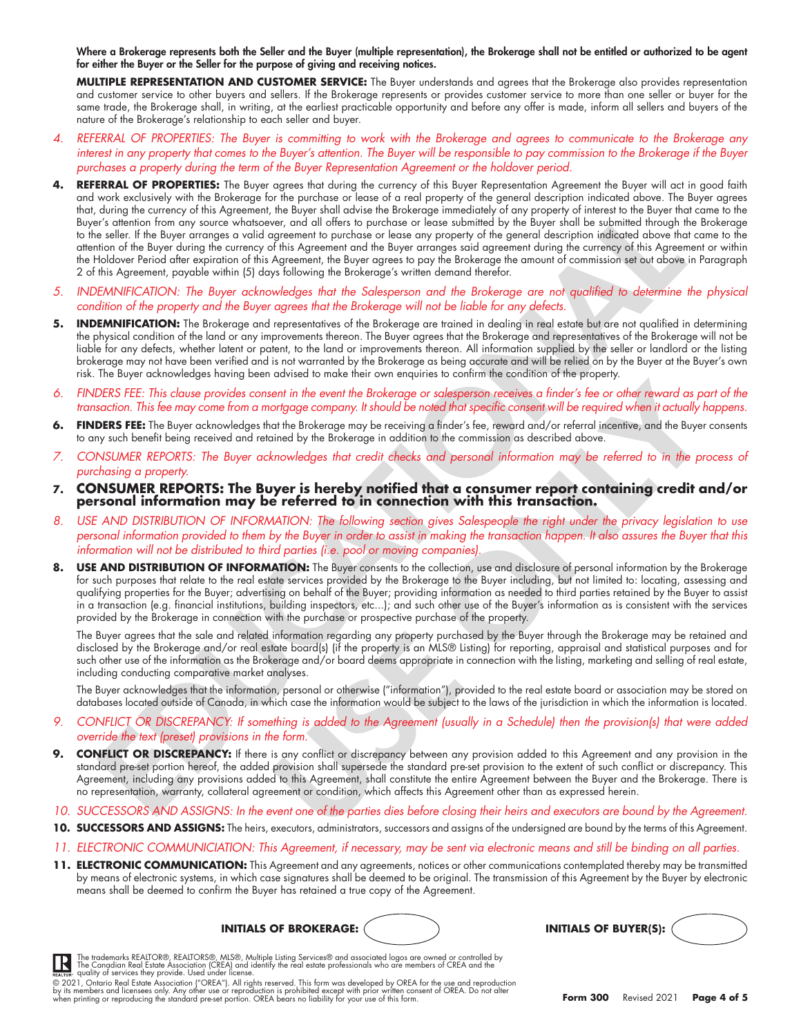Where a Brokerage represents both the Seller and the Buyer (multiple representation), the Brokerage shall not be entitled or authorized to be agent for either the Buyer or the Seller for the purpose of giving and receiving notices.

**MULTIPLE REPRESENTATION AND CUSTOMER SERVICE:** The Buyer understands and agrees that the Brokerage also provides representation and customer service to other buyers and sellers. If the Brokerage represents or provides customer service to more than one seller or buyer for the same trade, the Brokerage shall, in writing, at the earliest practicable opportunity and before any offer is made, inform all sellers and buyers of the nature of the Brokerage's relationship to each seller and buyer.

- *4. REFERRAL OF PROPERTIES: The Buyer is committing to work with the Brokerage and agrees to communicate to the Brokerage any interest in any property that comes to the Buyer's attention. The Buyer will be responsible to pay commission to the Brokerage if the Buyer purchases a property during the term of the Buyer Representation Agreement or the holdover period.*
- during the contempt of this forgonome, he librer is the brack of behavion intended of the most property of the content of the content of the content of the content of the content of the content of the content of the conten 4. REFERRAL OF PROPERTIES: The Buyer agrees that during the currency of this Buyer Representation Agreement the Buyer will act in good faith and work exclusively with the Brokerage for the purchase or lease of a real property of the general description indicated above. The Buyer agrees that, during the currency of this Agreement, the Buyer shall advise the Brokerage immediately of any property of interest to the Buyer that came to the Buyer's attention from any source whatsoever, and all offers to purchase or lease submitted by the Buyer shall be submitted through the Brokerage to the seller. If the Buyer arranges a valid agreement to purchase or lease any property of the general description indicated above that came to the attention of the Buyer during the currency of this Agreement and the Buyer arranges said agreement during the currency of this Agreement or within the Holdover Period after expiration of this Agreement, the Buyer agrees to pay the Brokerage the amount of commission set out above in Paragraph 2 of this Agreement, payable within (5) days following the Brokerage's written demand therefor.
- *5. INDEMNIFICATION: The Buyer acknowledges that the Salesperson and the Brokerage are not qualified to determine the physical condition of the property and the Buyer agrees that the Brokerage will not be liable for any defects.*
- **5. INDEMNIFICATION:** The Brokerage and representatives of the Brokerage are trained in dealing in real estate but are not qualified in determining the physical condition of the land or any improvements thereon. The Buyer agrees that the Brokerage and representatives of the Brokerage will not be liable for any defects, whether latent or patent, to the land or improvements thereon. All information supplied by the seller or landlord or the listing brokerage may not have been verified and is not warranted by the Brokerage as being accurate and will be relied on by the Buyer at the Buyer's own risk. The Buyer acknowledges having been advised to make their own enquiries to confirm the condition of the property.
- *6. FINDERS FEE: This clause provides consent in the event the Brokerage or salesperson receives a finder's fee or other reward as part of the transaction. This fee may come from a mortgage company. It should be noted that specific consent will be required when it actually happens.*
- **6. FINDERS FEE:** The Buyer acknowledges that the Brokerage may be receiving a finder's fee, reward and/or referral incentive, and the Buyer consents to any such benefit being received and retained by the Brokerage in addition to the commission as described above.
- *7. CONSUMER REPORTS: The Buyer acknowledges that credit checks and personal information may be referred to in the process of purchasing a property.*
- **7. CONSUMER REPORTS: The Buyer is hereby notified that a consumer report containing credit and/or personal information may be referred to in connection with this transaction.**
- *8. USE AND DISTRIBUTION OF INFORMATION: The following section gives Salespeople the right under the privacy legislation to use personal information provided to them by the Buyer in order to assist in making the transaction happen. It also assures the Buyer that this information will not be distributed to third parties (i.e. pool or moving companies).*
- ent in the event the Brokerage or salesperson receives a finder's fee or other reward as portgage company. It should be noted that specific consent will be required when it actually his ording on company. It should be note 8. **USE AND DISTRIBUTION OF INFORMATION:** The Buyer consents to the collection, use and disclosure of personal information by the Brokerage for such purposes that relate to the real estate services provided by the Brokerage to the Buyer including, but not limited to: locating, assessing and qualifying properties for the Buyer; advertising on behalf of the Buyer; providing information as needed to third parties retained by the Buyer to assist in a transaction (e.g. financial institutions, building inspectors, etc...); and such other use of the Buyer's information as is consistent with the services provided by the Brokerage in connection with the purchase or prospective purchase of the property.

The Buyer agrees that the sale and related information regarding any property purchased by the Buyer through the Brokerage may be retained and disclosed by the Brokerage and/or real estate board(s) (if the property is an MLS® Listing) for reporting, appraisal and statistical purposes and for such other use of the information as the Brokerage and/or board deems appropriate in connection with the listing, marketing and selling of real estate, including conducting comparative market analyses.

The Buyer acknowledges that the information, personal or otherwise ("information"), provided to the real estate board or association may be stored on databases located outside of Canada, in which case the information would be subject to the laws of the jurisdiction in which the information is located.

- *9. CONFLICT OR DISCREPANCY: If something is added to the Agreement (usually in a Schedule) then the provision(s) that were added override the text (preset) provisions in the form.*
- **9. CONFLICT OR DISCREPANCY:** If there is any conflict or discrepancy between any provision added to this Agreement and any provision in the standard pre-set portion hereof, the added provision shall supersede the standard pre-set provision to the extent of such conflict or discrepancy. This Agreement, including any provisions added to this Agreement, shall constitute the entire Agreement between the Buyer and the Brokerage. There is no representation, warranty, collateral agreement or condition, which affects this Agreement other than as expressed herein.
- *10. SUCCESSORS AND ASSIGNS: In the event one of the parties dies before closing their heirs and executors are bound by the Agreement.*
- **10. SUCCESSORS AND ASSIGNS:** The heirs, executors, administrators, successors and assigns of the undersigned are bound by the terms of this Agreement.
- *11. ELECTRONIC COMMUNICIATION: This Agreement, if necessary, may be sent via electronic means and still be binding on all parties.*
- **11. ELECTRONIC COMMUNICATION:** This Agreement and any agreements, notices or other communications contemplated thereby may be transmitted by means of electronic systems, in which case signatures shall be deemed to be original. The transmission of this Agreement by the Buyer by electronic means shall be deemed to confirm the Buyer has retained a true copy of the Agreement.





The trademarks REALTOR®, REALTORS®, MLS®, Multiple Listing Services® and associated logos are owned or controlled by<br>The Canadian Real Estate Association (CREA) and identify the real estate professionals who are members of <u>IK</u>